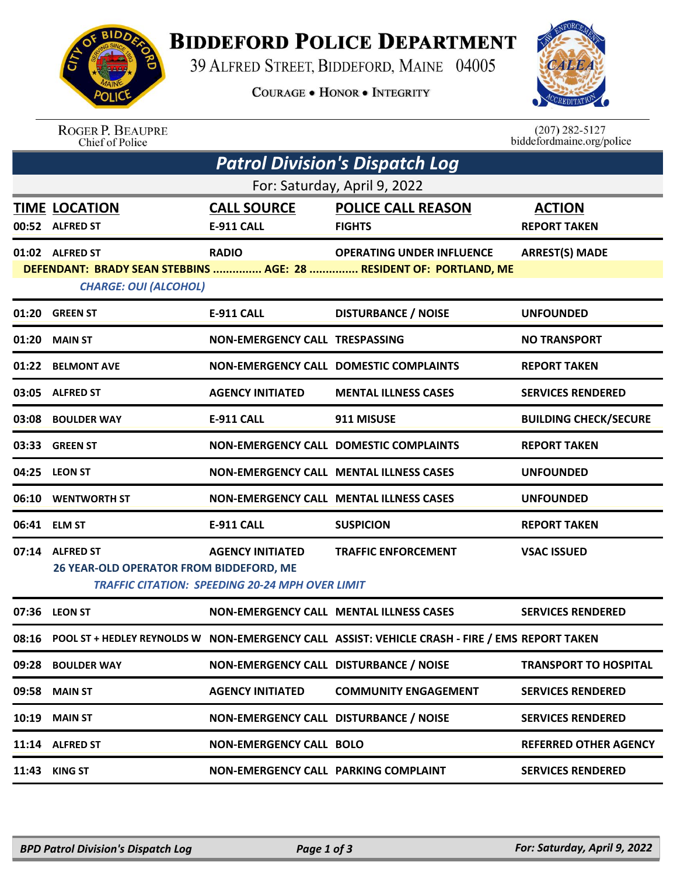

## **BIDDEFORD POLICE DEPARTMENT**

39 ALFRED STREET, BIDDEFORD, MAINE 04005

**COURAGE . HONOR . INTEGRITY** 



## ROGER P. BEAUPRE<br>Chief of Police

 $(207)$  282-5127<br>biddefordmaine.org/police

| <b>Patrol Division's Dispatch Log</b>                                                                                                                                                              |                                                            |                                                                                   |                                                                                                      |                                      |  |  |  |  |
|----------------------------------------------------------------------------------------------------------------------------------------------------------------------------------------------------|------------------------------------------------------------|-----------------------------------------------------------------------------------|------------------------------------------------------------------------------------------------------|--------------------------------------|--|--|--|--|
| For: Saturday, April 9, 2022                                                                                                                                                                       |                                                            |                                                                                   |                                                                                                      |                                      |  |  |  |  |
|                                                                                                                                                                                                    | <b>TIME LOCATION</b><br>00:52 ALFRED ST                    | <b>CALL SOURCE</b><br><b>E-911 CALL</b>                                           | <b>POLICE CALL REASON</b><br><b>FIGHTS</b>                                                           | <b>ACTION</b><br><b>REPORT TAKEN</b> |  |  |  |  |
| <b>RADIO</b><br><b>ARREST(S) MADE</b><br>01:02 ALFRED ST<br><b>OPERATING UNDER INFLUENCE</b><br>DEFENDANT: BRADY SEAN STEBBINS  AGE: 28  RESIDENT OF: PORTLAND, ME<br><b>CHARGE: OUI (ALCOHOL)</b> |                                                            |                                                                                   |                                                                                                      |                                      |  |  |  |  |
|                                                                                                                                                                                                    | 01:20 GREEN ST                                             | <b>E-911 CALL</b>                                                                 | <b>DISTURBANCE / NOISE</b>                                                                           | <b>UNFOUNDED</b>                     |  |  |  |  |
| 01:20                                                                                                                                                                                              | <b>MAIN ST</b>                                             | NON-EMERGENCY CALL TRESPASSING                                                    |                                                                                                      | <b>NO TRANSPORT</b>                  |  |  |  |  |
|                                                                                                                                                                                                    | 01:22 BELMONT AVE                                          |                                                                                   | NON-EMERGENCY CALL DOMESTIC COMPLAINTS                                                               | <b>REPORT TAKEN</b>                  |  |  |  |  |
|                                                                                                                                                                                                    | 03:05 ALFRED ST                                            | <b>AGENCY INITIATED</b>                                                           | <b>MENTAL ILLNESS CASES</b>                                                                          | <b>SERVICES RENDERED</b>             |  |  |  |  |
| 03:08                                                                                                                                                                                              | <b>BOULDER WAY</b>                                         | <b>E-911 CALL</b>                                                                 | 911 MISUSE                                                                                           | <b>BUILDING CHECK/SECURE</b>         |  |  |  |  |
| 03:33                                                                                                                                                                                              | <b>GREEN ST</b>                                            |                                                                                   | NON-EMERGENCY CALL DOMESTIC COMPLAINTS                                                               | <b>REPORT TAKEN</b>                  |  |  |  |  |
|                                                                                                                                                                                                    | 04:25 LEON ST                                              |                                                                                   | <b>NON-EMERGENCY CALL MENTAL ILLNESS CASES</b>                                                       | <b>UNFOUNDED</b>                     |  |  |  |  |
| 06:10                                                                                                                                                                                              | <b>WENTWORTH ST</b>                                        |                                                                                   | <b>NON-EMERGENCY CALL MENTAL ILLNESS CASES</b>                                                       | <b>UNFOUNDED</b>                     |  |  |  |  |
|                                                                                                                                                                                                    | 06:41 ELM ST                                               | <b>E-911 CALL</b>                                                                 | <b>SUSPICION</b>                                                                                     | <b>REPORT TAKEN</b>                  |  |  |  |  |
|                                                                                                                                                                                                    | 07:14 ALFRED ST<br>26 YEAR-OLD OPERATOR FROM BIDDEFORD, ME | <b>AGENCY INITIATED</b><br><b>TRAFFIC CITATION: SPEEDING 20-24 MPH OVER LIMIT</b> | <b>TRAFFIC ENFORCEMENT</b>                                                                           | <b>VSAC ISSUED</b>                   |  |  |  |  |
|                                                                                                                                                                                                    | 07:36 LEON ST                                              |                                                                                   | NON-EMERGENCY CALL MENTAL ILLNESS CASES                                                              | <b>SERVICES RENDERED</b>             |  |  |  |  |
|                                                                                                                                                                                                    |                                                            |                                                                                   | 08:16 POOL ST + HEDLEY REYNOLDS W NON-EMERGENCY CALL ASSIST: VEHICLE CRASH - FIRE / EMS REPORT TAKEN |                                      |  |  |  |  |
|                                                                                                                                                                                                    | 09:28 BOULDER WAY                                          | NON-EMERGENCY CALL DISTURBANCE / NOISE                                            |                                                                                                      | <b>TRANSPORT TO HOSPITAL</b>         |  |  |  |  |
|                                                                                                                                                                                                    | 09:58 MAIN ST                                              | <b>AGENCY INITIATED</b>                                                           | <b>COMMUNITY ENGAGEMENT</b>                                                                          | <b>SERVICES RENDERED</b>             |  |  |  |  |
| 10:19                                                                                                                                                                                              | <b>MAIN ST</b>                                             | NON-EMERGENCY CALL DISTURBANCE / NOISE                                            |                                                                                                      | <b>SERVICES RENDERED</b>             |  |  |  |  |
|                                                                                                                                                                                                    | 11:14 ALFRED ST                                            | <b>NON-EMERGENCY CALL BOLO</b>                                                    |                                                                                                      | <b>REFERRED OTHER AGENCY</b>         |  |  |  |  |
|                                                                                                                                                                                                    | 11:43 KING ST                                              | NON-EMERGENCY CALL PARKING COMPLAINT                                              |                                                                                                      | <b>SERVICES RENDERED</b>             |  |  |  |  |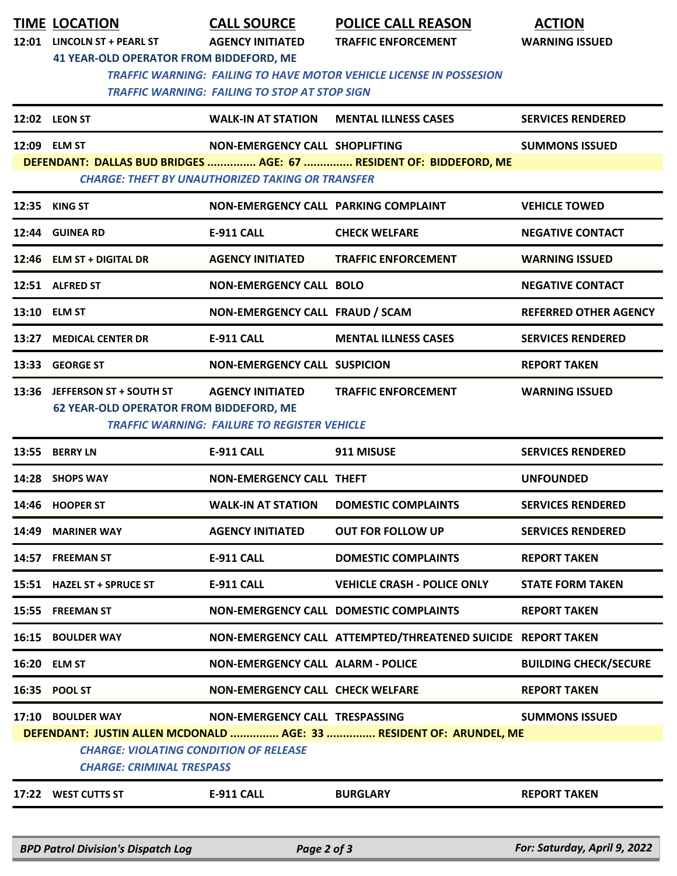|                                                                                                                             | <b>TIME LOCATION</b>                           | <b>CALL SOURCE</b>                                      | <b>POLICE CALL REASON</b>                                           | <b>ACTION</b>                |  |  |  |  |
|-----------------------------------------------------------------------------------------------------------------------------|------------------------------------------------|---------------------------------------------------------|---------------------------------------------------------------------|------------------------------|--|--|--|--|
|                                                                                                                             | 12:01 LINCOLN ST + PEARL ST                    | <b>AGENCY INITIATED</b>                                 | <b>TRAFFIC ENFORCEMENT</b>                                          | <b>WARNING ISSUED</b>        |  |  |  |  |
|                                                                                                                             |                                                | <b>41 YEAR-OLD OPERATOR FROM BIDDEFORD, ME</b>          |                                                                     |                              |  |  |  |  |
| <b>TRAFFIC WARNING: FAILING TO HAVE MOTOR VEHICLE LICENSE IN POSSESION</b><br>TRAFFIC WARNING: FAILING TO STOP AT STOP SIGN |                                                |                                                         |                                                                     |                              |  |  |  |  |
|                                                                                                                             |                                                |                                                         |                                                                     |                              |  |  |  |  |
|                                                                                                                             | 12:09 ELM ST                                   | NON-EMERGENCY CALL SHOPLIFTING                          |                                                                     | <b>SUMMONS ISSUED</b>        |  |  |  |  |
| DEFENDANT: DALLAS BUD BRIDGES  AGE: 67  RESIDENT OF: BIDDEFORD, ME                                                          |                                                |                                                         |                                                                     |                              |  |  |  |  |
|                                                                                                                             |                                                | <b>CHARGE: THEFT BY UNAUTHORIZED TAKING OR TRANSFER</b> |                                                                     |                              |  |  |  |  |
|                                                                                                                             | 12:35 KING ST                                  | NON-EMERGENCY CALL PARKING COMPLAINT                    |                                                                     | <b>VEHICLE TOWED</b>         |  |  |  |  |
|                                                                                                                             | 12:44 GUINEA RD                                | <b>E-911 CALL</b>                                       | <b>CHECK WELFARE</b>                                                | <b>NEGATIVE CONTACT</b>      |  |  |  |  |
|                                                                                                                             | 12:46 ELM ST + DIGITAL DR                      | <b>AGENCY INITIATED</b>                                 | <b>TRAFFIC ENFORCEMENT</b>                                          | <b>WARNING ISSUED</b>        |  |  |  |  |
|                                                                                                                             | 12:51 ALFRED ST                                | <b>NON-EMERGENCY CALL BOLO</b>                          |                                                                     | <b>NEGATIVE CONTACT</b>      |  |  |  |  |
|                                                                                                                             | 13:10 ELM ST                                   | NON-EMERGENCY CALL FRAUD / SCAM                         |                                                                     | <b>REFERRED OTHER AGENCY</b> |  |  |  |  |
|                                                                                                                             | 13:27 MEDICAL CENTER DR                        | <b>E-911 CALL</b>                                       | <b>MENTAL ILLNESS CASES</b>                                         | <b>SERVICES RENDERED</b>     |  |  |  |  |
|                                                                                                                             | 13:33 GEORGE ST                                | <b>NON-EMERGENCY CALL SUSPICION</b>                     |                                                                     | <b>REPORT TAKEN</b>          |  |  |  |  |
| 13:36                                                                                                                       | JEFFERSON ST + SOUTH ST                        | <b>AGENCY INITIATED</b>                                 | <b>TRAFFIC ENFORCEMENT</b>                                          | <b>WARNING ISSUED</b>        |  |  |  |  |
|                                                                                                                             | <b>62 YEAR-OLD OPERATOR FROM BIDDEFORD, ME</b> |                                                         |                                                                     |                              |  |  |  |  |
|                                                                                                                             |                                                | <b>TRAFFIC WARNING: FAILURE TO REGISTER VEHICLE</b>     |                                                                     |                              |  |  |  |  |
|                                                                                                                             | 13:55 BERRY LN                                 | <b>E-911 CALL</b>                                       | 911 MISUSE                                                          | <b>SERVICES RENDERED</b>     |  |  |  |  |
|                                                                                                                             | 14:28 SHOPS WAY                                | <b>NON-EMERGENCY CALL THEFT</b>                         |                                                                     | <b>UNFOUNDED</b>             |  |  |  |  |
|                                                                                                                             | 14:46 HOOPER ST                                | <b>WALK-IN AT STATION</b>                               | <b>DOMESTIC COMPLAINTS</b>                                          | <b>SERVICES RENDERED</b>     |  |  |  |  |
|                                                                                                                             | 14:49 MARINER WAY                              | <b>AGENCY INITIATED</b>                                 | <b>OUT FOR FOLLOW UP</b>                                            | <b>SERVICES RENDERED</b>     |  |  |  |  |
|                                                                                                                             | 14:57 FREEMAN ST                               | <b>E-911 CALL</b>                                       | <b>DOMESTIC COMPLAINTS</b>                                          | <b>REPORT TAKEN</b>          |  |  |  |  |
|                                                                                                                             | 15:51 HAZEL ST + SPRUCE ST                     | <b>E-911 CALL</b>                                       | <b>VEHICLE CRASH - POLICE ONLY</b>                                  | <b>STATE FORM TAKEN</b>      |  |  |  |  |
|                                                                                                                             | 15:55 FREEMAN ST                               |                                                         | NON-EMERGENCY CALL DOMESTIC COMPLAINTS                              | <b>REPORT TAKEN</b>          |  |  |  |  |
|                                                                                                                             | 16:15 BOULDER WAY                              |                                                         | NON-EMERGENCY CALL ATTEMPTED/THREATENED SUICIDE REPORT TAKEN        |                              |  |  |  |  |
|                                                                                                                             | 16:20 ELM ST                                   | <b>NON-EMERGENCY CALL ALARM - POLICE</b>                |                                                                     | <b>BUILDING CHECK/SECURE</b> |  |  |  |  |
|                                                                                                                             | 16:35 POOL ST                                  | <b>NON-EMERGENCY CALL CHECK WELFARE</b>                 |                                                                     | <b>REPORT TAKEN</b>          |  |  |  |  |
|                                                                                                                             | 17:10 BOULDER WAY                              | NON-EMERGENCY CALL TRESPASSING                          |                                                                     | <b>SUMMONS ISSUED</b>        |  |  |  |  |
|                                                                                                                             |                                                |                                                         | DEFENDANT: JUSTIN ALLEN MCDONALD  AGE: 33  RESIDENT OF: ARUNDEL, ME |                              |  |  |  |  |
|                                                                                                                             | <b>CHARGE: VIOLATING CONDITION OF RELEASE</b>  |                                                         |                                                                     |                              |  |  |  |  |
|                                                                                                                             | <b>CHARGE: CRIMINAL TRESPASS</b>               |                                                         |                                                                     |                              |  |  |  |  |
|                                                                                                                             | 17:22 WEST CUTTS ST                            | <b>E-911 CALL</b>                                       | <b>BURGLARY</b>                                                     | <b>REPORT TAKEN</b>          |  |  |  |  |
|                                                                                                                             |                                                |                                                         |                                                                     |                              |  |  |  |  |
|                                                                                                                             | <b>BPD Patrol Division's Dispatch Log</b>      | Page 2 of 3                                             |                                                                     | For: Saturday, April 9, 2022 |  |  |  |  |